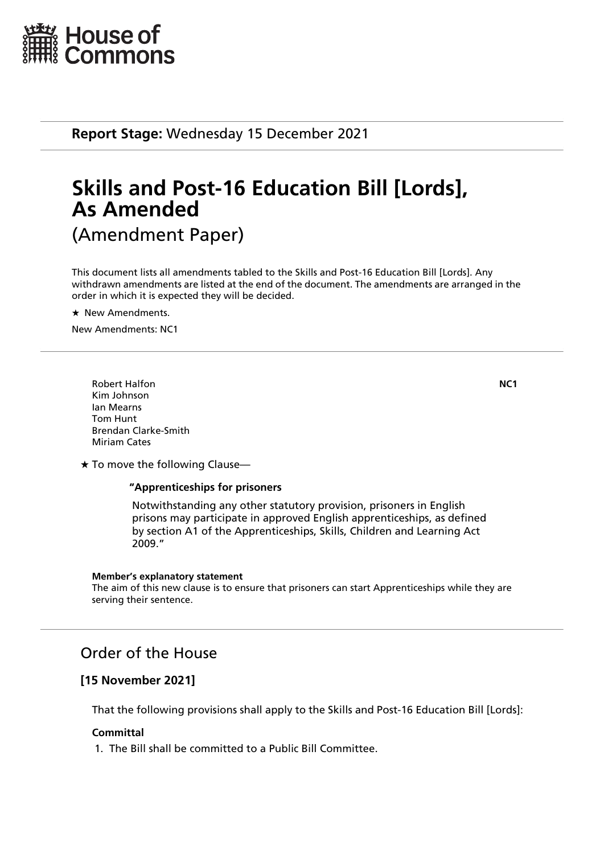

**Report Stage:** Wednesday 15 December 2021

# **Skills and Post-16 Education Bill [Lords], As Amended** (Amendment Paper)

This document lists all amendments tabled to the Skills and Post-16 Education Bill [Lords]. Any withdrawn amendments are listed at the end of the document. The amendments are arranged in the order in which it is expected they will be decided.

 $\star$  New Amendments.

New Amendments: NC1

Robert Halfon **NC1** Kim Johnson Ian Mearns Tom Hunt Brendan Clarke-Smith Miriam Cates

 $\star$  To move the following Clause-

# **"Apprenticeships for prisoners**

 Notwithstanding any other statutory provision, prisoners in English prisons may participate in approved English apprenticeships, as defined by section A1 of the Apprenticeships, Skills, Children and Learning Act 2009."

#### **Member's explanatory statement**

The aim of this new clause is to ensure that prisoners can start Apprenticeships while they are serving their sentence.

# Order of the House

# **[15 November 2021]**

That the following provisions shall apply to the Skills and Post-16 Education Bill [Lords]:

# **Committal**

1. The Bill shall be committed to a Public Bill Committee.